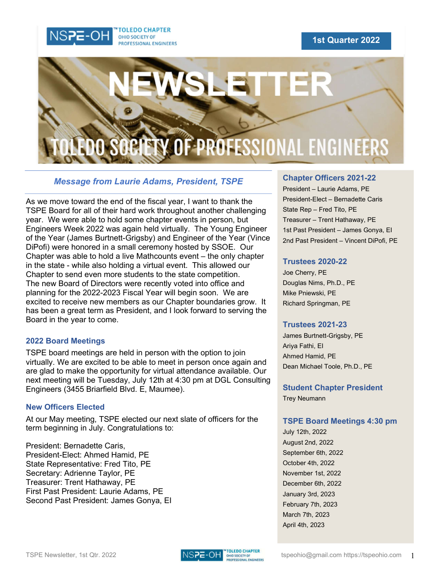# 1st Quarter 2022





# Message from Laurie Adams, President, TSPE

As we move toward the end of the fiscal year, I want to thank the TSPE Board for all of their hard work throughout another challenging year. We were able to hold some chapter events in person, but Engineers Week 2022 was again held virtually. The Young Engineer of the Year (James Burtnett-Grigsby) and Engineer of the Year (Vince DiPofi) were honored in a small ceremony hosted by SSOE. Our Chapter was able to hold a live Mathcounts event – the only chapter in the state - while also holding a virtual event. This allowed our Chapter to send even more students to the state competition. The new Board of Directors were recently voted into office and planning for the 2022-2023 Fiscal Year will begin soon. We are excited to receive new members as our Chapter boundaries grow. It has been a great term as President, and I look forward to serving the Board in the year to come.

### 2022 Board Meetings

TSPE board meetings are held in person with the option to join virtually. We are excited to be able to meet in person once again and are glad to make the opportunity for virtual attendance available. Our next meeting will be Tuesday, July 12th at 4:30 pm at DGL Consulting Engineers (3455 Briarfield Blvd. E, Maumee).

### New Officers Elected

At our May meeting, TSPE elected our next slate of officers for the term beginning in July. Congratulations to:

President: Bernadette Caris, President-Elect: Ahmed Hamid, PE State Representative: Fred Tito, PE Secretary: Adrienne Taylor, PE Treasurer: Trent Hathaway, PE First Past President: Laurie Adams, PE Second Past President: James Gonya, EI

## Chapter Officers 2021-22

President – Laurie Adams, PE President-Elect – Bernadette Caris State Rep – Fred Tito, PE Treasurer – Trent Hathaway, PE 1st Past President – James Gonya, EI 2nd Past President – Vincent DiPofi, PE

#### Trustees 2020-22

Joe Cherry, PE Douglas Nims, Ph.D., PE Mike Pniewski, PE Richard Springman, PE

#### Trustees 2021-23

James Burtnett-Grigsby, PE Ariya Fathi, EI Ahmed Hamid, PE Dean Michael Toole, Ph.D., PE

# Student Chapter President

Trey Neumann

### TSPE Board Meetings 4:30 pm

July 12th, 2022 August 2nd, 2022 September 6th, 2022 October 4th, 2022 November 1st, 2022 December 6th, 2022 January 3rd, 2023 February 7th, 2023 March 7th, 2023 April 4th, 2023

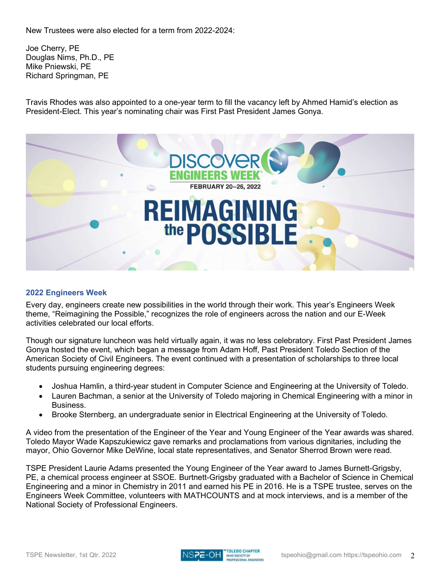New Trustees were also elected for a term from 2022-2024:

Joe Cherry, PE Douglas Nims, Ph.D., PE Mike Pniewski, PE Richard Springman, PE

Travis Rhodes was also appointed to a one-year term to fill the vacancy left by Ahmed Hamid's election as President-Elect. This year's nominating chair was First Past President James Gonya.



# 2022 Engineers Week

Every day, engineers create new possibilities in the world through their work. This year's Engineers Week theme, "Reimagining the Possible," recognizes the role of engineers across the nation and our E-Week activities celebrated our local efforts.

Though our signature luncheon was held virtually again, it was no less celebratory. First Past President James Gonya hosted the event, which began a message from Adam Hoff, Past President Toledo Section of the American Society of Civil Engineers. The event continued with a presentation of scholarships to three local students pursuing engineering degrees:

- Joshua Hamlin, a third-year student in Computer Science and Engineering at the University of Toledo.
- Lauren Bachman, a senior at the University of Toledo majoring in Chemical Engineering with a minor in Business.
- Brooke Sternberg, an undergraduate senior in Electrical Engineering at the University of Toledo.

A video from the presentation of the Engineer of the Year and Young Engineer of the Year awards was shared. Toledo Mayor Wade Kapszukiewicz gave remarks and proclamations from various dignitaries, including the mayor, Ohio Governor Mike DeWine, local state representatives, and Senator Sherrod Brown were read.

TSPE President Laurie Adams presented the Young Engineer of the Year award to James Burnett-Grigsby, PE, a chemical process engineer at SSOE. Burtnett-Grigsby graduated with a Bachelor of Science in Chemical Engineering and a minor in Chemistry in 2011 and earned his PE in 2016. He is a TSPE trustee, serves on the Engineers Week Committee, volunteers with MATHCOUNTS and at mock interviews, and is a member of the National Society of Professional Engineers.

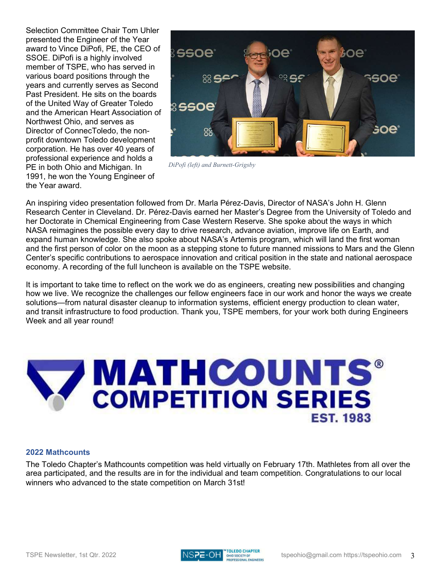Selection Committee Chair Tom Uhler presented the Engineer of the Year award to Vince DiPofi, PE, the CEO of SSOE. DiPofi is a highly involved member of TSPE, who has served in various board positions through the years and currently serves as Second Past President. He sits on the boards of the United Way of Greater Toledo and the American Heart Association of Northwest Ohio, and serves as Director of ConnecToledo, the nonprofit downtown Toledo development corporation. He has over 40 years of professional experience and holds a PE in both Ohio and Michigan. In 1991, he won the Young Engineer of the Year award.



DiPofi (left) and Burnett-Grigsby

An inspiring video presentation followed from Dr. Marla Pérez-Davis, Director of NASA's John H. Glenn Research Center in Cleveland. Dr. Pérez-Davis earned her Master's Degree from the University of Toledo and her Doctorate in Chemical Engineering from Case Western Reserve. She spoke about the ways in which NASA reimagines the possible every day to drive research, advance aviation, improve life on Earth, and expand human knowledge. She also spoke about NASA's Artemis program, which will land the first woman and the first person of color on the moon as a stepping stone to future manned missions to Mars and the Glenn Center's specific contributions to aerospace innovation and critical position in the state and national aerospace economy. A recording of the full luncheon is available on the TSPE website.

It is important to take time to reflect on the work we do as engineers, creating new possibilities and changing how we live. We recognize the challenges our fellow engineers face in our work and honor the ways we create solutions—from natural disaster cleanup to information systems, efficient energy production to clean water, and transit infrastructure to food production. Thank you, TSPE members, for your work both during Engineers Week and all year round!



### 2022 Mathcounts

The Toledo Chapter's Mathcounts competition was held virtually on February 17th. Mathletes from all over the area participated, and the results are in for the individual and team competition. Congratulations to our local winners who advanced to the state competition on March 31st!

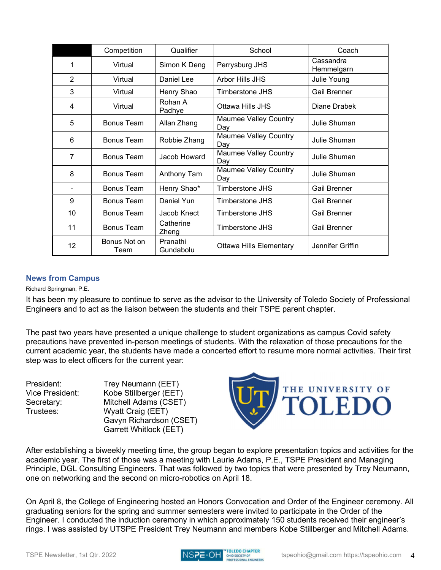|                | Competition          | Qualifier             | School                              | Coach                   |
|----------------|----------------------|-----------------------|-------------------------------------|-------------------------|
| 1              | Virtual              | Simon K Deng          | Perrysburg JHS                      | Cassandra<br>Hemmelgarn |
| $\overline{2}$ | Virtual              | Daniel Lee            | Arbor Hills JHS                     | Julie Young             |
| 3              | Virtual              | Henry Shao            | <b>Timberstone JHS</b>              | <b>Gail Brenner</b>     |
| 4              | Virtual              | Rohan A<br>Padhye     | Ottawa Hills JHS                    | Diane Drabek            |
| 5              | Bonus Team           | Allan Zhang           | <b>Maumee Valley Country</b><br>Day | Julie Shuman            |
| 6              | <b>Bonus Team</b>    | Robbie Zhang          | <b>Maumee Valley Country</b><br>Day | Julie Shuman            |
| 7              | Bonus Team           | Jacob Howard          | <b>Maumee Valley Country</b><br>Day | Julie Shuman            |
| 8              | <b>Bonus Team</b>    | Anthony Tam           | <b>Maumee Valley Country</b><br>Day | Julie Shuman            |
|                | <b>Bonus Team</b>    | Henry Shao*           | <b>Timberstone JHS</b>              | <b>Gail Brenner</b>     |
| 9              | Bonus Team           | Daniel Yun            | Timberstone JHS                     | <b>Gail Brenner</b>     |
| 10             | Bonus Team           | Jacob Knect           | Timberstone JHS                     | <b>Gail Brenner</b>     |
| 11             | Bonus Team           | Catherine<br>Zheng    | Timberstone JHS                     | <b>Gail Brenner</b>     |
| 12             | Bonus Not on<br>Team | Pranathi<br>Gundabolu | <b>Ottawa Hills Elementary</b>      | Jennifer Griffin        |

### News from Campus

#### Richard Springman, P.E.

It has been my pleasure to continue to serve as the advisor to the University of Toledo Society of Professional Engineers and to act as the liaison between the students and their TSPE parent chapter.

The past two years have presented a unique challenge to student organizations as campus Covid safety precautions have prevented in-person meetings of students. With the relaxation of those precautions for the current academic year, the students have made a concerted effort to resume more normal activities. Their first step was to elect officers for the current year:

President: Trey Neumann (EET) Vice President: Kobe Stillberger (EET) Secretary: Mitchell Adams (CSET) Trustees: Wyatt Craig (EET) Gavyn Richardson (CSET) Garrett Whitlock (EET)



After establishing a biweekly meeting time, the group began to explore presentation topics and activities for the academic year. The first of those was a meeting with Laurie Adams, P.E., TSPE President and Managing Principle, DGL Consulting Engineers. That was followed by two topics that were presented by Trey Neumann, one on networking and the second on micro-robotics on April 18.

On April 8, the College of Engineering hosted an Honors Convocation and Order of the Engineer ceremony. All graduating seniors for the spring and summer semesters were invited to participate in the Order of the Engineer. I conducted the induction ceremony in which approximately 150 students received their engineer's rings. I was assisted by UTSPE President Trey Neumann and members Kobe Stillberger and Mitchell Adams.